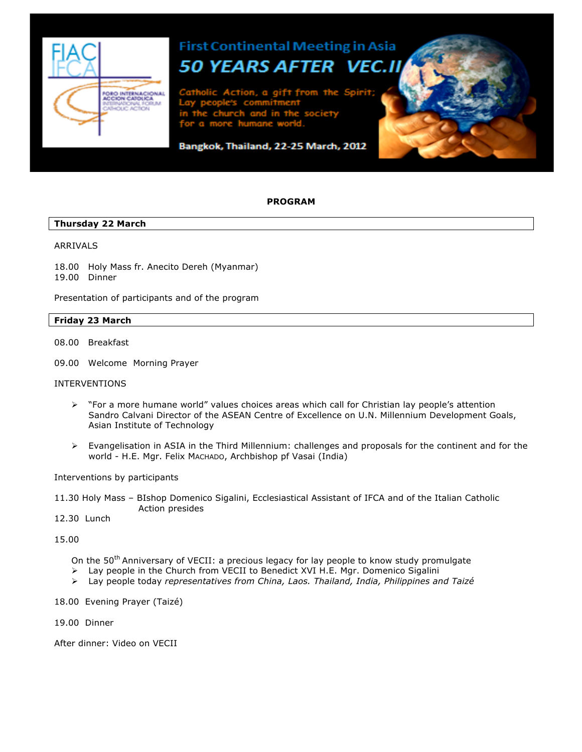

## **First Continental Meeting in Asia 50 YEARS AFTER** VEC

n

# Bangkok, Thailand, 22-25 March, 2012

#### **PROGRAM**

## **Thursday 22 March**

#### ARRIVALS

18.00 Holy Mass fr. Anecito Dereh (Myanmar) 19.00 Dinner

Presentation of participants and of the program

#### **Friday 23 March**

08.00 Breakfast

09.00 Welcome Morning Prayer

#### INTERVENTIONS

- $\triangleright$  "For a more humane world" values choices areas which call for Christian lay people's attention Sandro Calvani Director of the ASEAN Centre of Excellence on U.N. Millennium Development Goals, Asian Institute of Technology
- $\triangleright$  Evangelisation in ASIA in the Third Millennium: challenges and proposals for the continent and for the world - H.E. Mgr. Felix MACHADO, Archbishop pf Vasai (India)

Interventions by participants

11.30 Holy Mass – BIshop Domenico Sigalini, Ecclesiastical Assistant of IFCA and of the Italian Catholic Action presides

12.30 Lunch

15.00

On the 50<sup>th</sup> Anniversary of VECII: a precious legacy for lay people to know study promulgate

- $\triangleright$  Lay people in the Church from VECII to Benedict XVI H.E. Mgr. Domenico Sigalini
- Ø Lay people today *representatives from China, Laos. Thailand, India, Philippines and Taizé*
- 18.00 Evening Prayer (Taizé)
- 19.00 Dinner

After dinner: Video on VECII